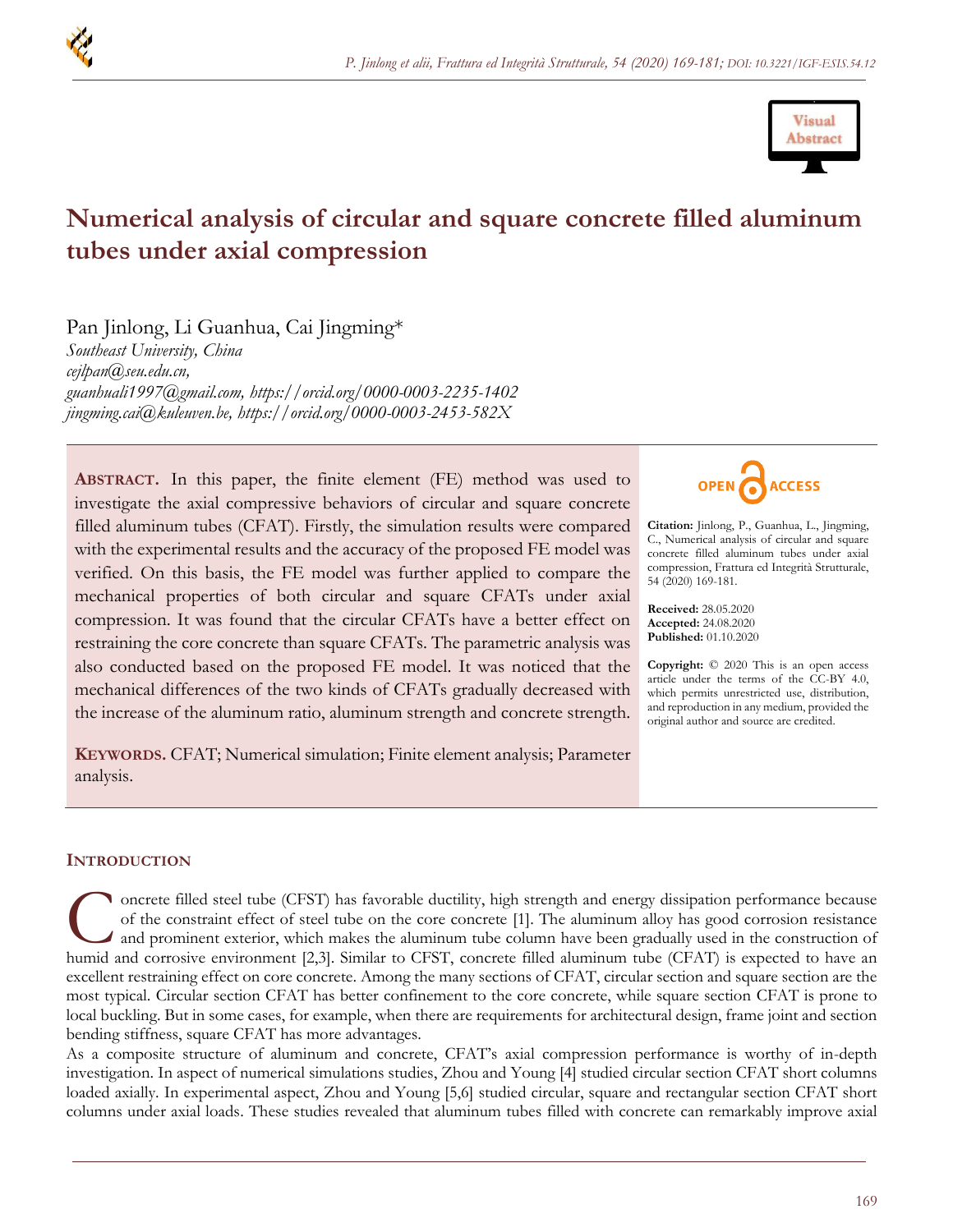



# **Numerical analysis of circular and square concrete filled aluminum tubes under axial compression**

Pan Jinlong, Li Guanhua, Cai Jingming\*

*Southeast University, China [cejlpan@seu.edu.cn,](mailto:cejlpan@seu.edu.cn) guanhuali1997@gmail.com, https://orcid.org/0000-0003-2235-1402 jingming.cai@kuleuven.be,<https://orcid.org/0000-0003-2453-582X>*

**ABSTRACT.** In this paper, the finite element (FE) method was used to investigate the axial compressive behaviors of circular and square concrete filled aluminum tubes (CFAT). Firstly, the simulation results were compared with the experimental results and the accuracy of the proposed FE model was verified. On this basis, the FE model was further applied to compare the mechanical properties of both circular and square CFATs under axial compression. It was found that the circular CFATs have a better effect on restraining the core concrete than square CFATs. The parametric analysis was also conducted based on the proposed FE model. It was noticed that the mechanical differences of the two kinds of CFATs gradually decreased with the increase of the aluminum ratio, aluminum strength and concrete strength.





**Citation:** Jinlong, P., Guanhua, L., Jingming, C., Numerical analysis of circular and square concrete filled aluminum tubes under axial compression, Frattura ed Integrità Strutturale, 54 (2020) 169-181.

**Received:** 28.05.2020 **Accepted:** 24.08.2020 **Published:** 01.10.2020

**Copyright:** © 2020 This is an open access article under the terms of the CC-BY 4.0, which permits unrestricted use, distribution, and reproduction in any medium, provided the original author and source are credited.

# **INTRODUCTION**

oncrete filled steel tube (CFST) has favorable ductility, high strength and energy dissipation performance because of the constraint effect of steel tube on the core concrete [1]. The aluminum alloy has good corrosion resistance and prominent exterior, which makes the aluminum tube column have been gradually used in the construction of oncrete filled steel tube (CFST) has favorable ductility, high strength and energy dissipation performance because of the constraint effect of steel tube on the core concrete [1]. The aluminum alloy has good corrosion resi excellent restraining effect on core concrete. Among the many sections of CFAT, circular section and square section are the most typical. Circular section CFAT has better confinement to the core concrete, while square section CFAT is prone to local buckling. But in some cases, for example, when there are requirements for architectural design, frame joint and section bending stiffness, square CFAT has more advantages.

As a composite structure of aluminum and concrete, CFAT's axial compression performance is worthy of in-depth investigation. In aspect of numerical simulations studies, Zhou and Young [4] studied circular section CFAT short columns loaded axially. In experimental aspect, Zhou and Young [5,6] studied circular, square and rectangular section CFAT short columns under axial loads. These studies revealed that aluminum tubes filled with concrete can remarkably improve axial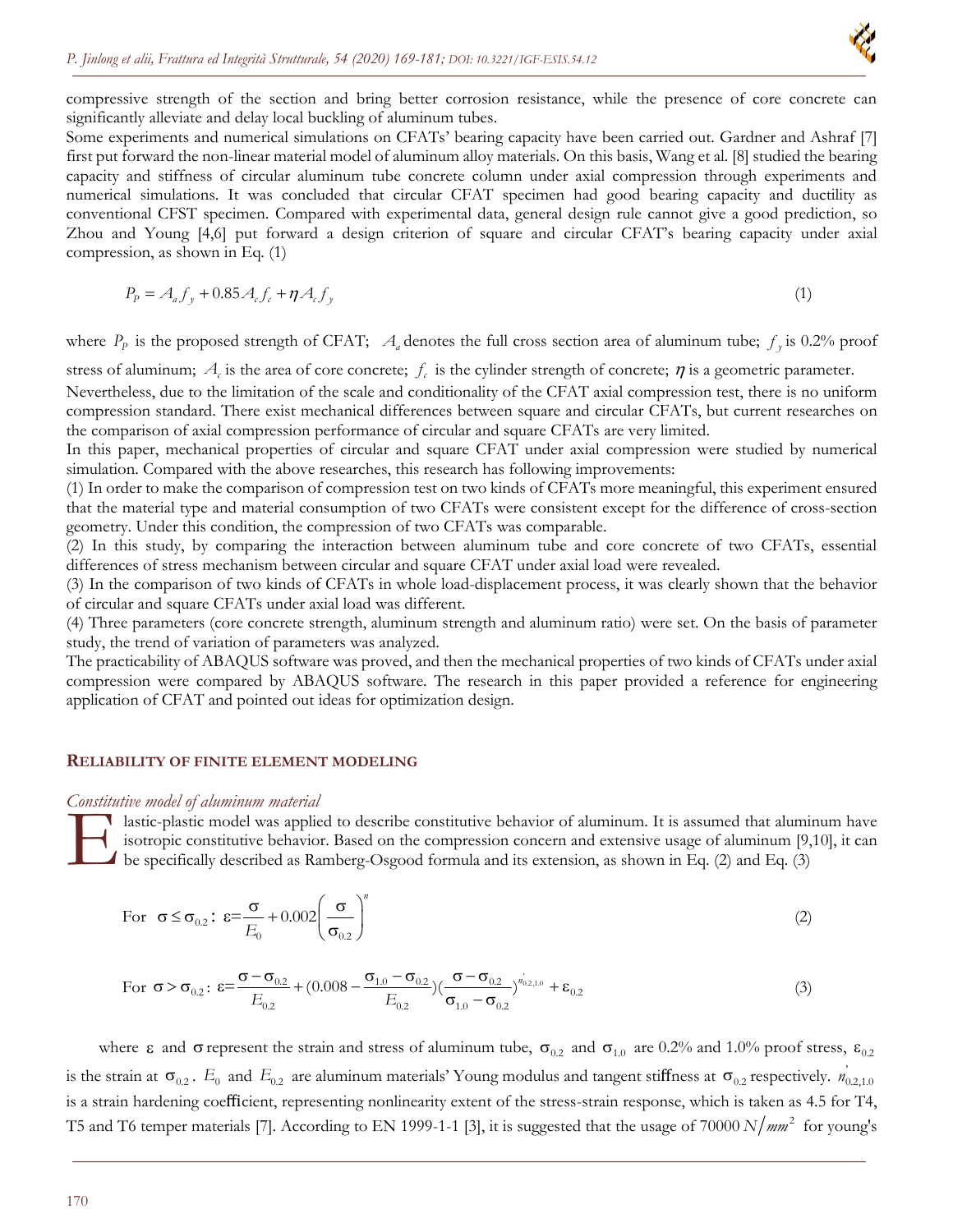

compressive strength of the section and bring better corrosion resistance, while the presence of core concrete can significantly alleviate and delay local buckling of aluminum tubes.

Some experiments and numerical simulations on CFATs' bearing capacity have been carried out. Gardner and Ashraf [7] first put forward the non-linear material model of aluminum alloy materials. On this basis, Wang et al. [8] studied the bearing capacity and stiffness of circular aluminum tube concrete column under axial compression through experiments and numerical simulations. It was concluded that circular CFAT specimen had good bearing capacity and ductility as conventional CFST specimen. Compared with experimental data, general design rule cannot give a good prediction, so Zhou and Young [4,6] put forward a design criterion of square and circular CFAT's bearing capacity under axial compression, as shown in Eq. (1)

$$
P_p = A_a f_y + 0.85 A_c f_c + \eta A_c f_y \tag{1}
$$

where  $P_p$  is the proposed strength of CFAT;  $A_a$  denotes the full cross section area of aluminum tube;  $f_p$  is 0.2% proof

stress of aluminum;  $A_c$  is the area of core concrete;  $f_c$  is the cylinder strength of concrete;  $\eta$  is a geometric parameter.

Nevertheless, due to the limitation of the scale and conditionality of the CFAT axial compression test, there is no uniform compression standard. There exist mechanical differences between square and circular CFATs, but current researches on the comparison of axial compression performance of circular and square CFATs are very limited.

In this paper, mechanical properties of circular and square CFAT under axial compression were studied by numerical simulation. Compared with the above researches, this research has following improvements:

(1) In order to make the comparison of compression test on two kinds of CFATs more meaningful, this experiment ensured that the material type and material consumption of two CFATs were consistent except for the difference of cross-section geometry. Under this condition, the compression of two CFATs was comparable.

(2) In this study, by comparing the interaction between aluminum tube and core concrete of two CFATs, essential differences of stress mechanism between circular and square CFAT under axial load were revealed.

(3) In the comparison of two kinds of CFATs in whole load-displacement process, it was clearly shown that the behavior of circular and square CFATs under axial load was different.

(4) Three parameters (core concrete strength, aluminum strength and aluminum ratio) were set. On the basis of parameter study, the trend of variation of parameters was analyzed.

The practicability of ABAQUS software was proved, and then the mechanical properties of two kinds of CFATs under axial compression were compared by ABAQUS software. The research in this paper provided a reference for engineering application of CFAT and pointed out ideas for optimization design.

#### **RELIABILITY OF FINITE ELEMENT MODELING**

#### *Constitutive model of aluminum material*

lastic-plastic model was applied to describe constitutive behavior of aluminum. It is assumed that aluminum have isotropic constitutive behavior. Based on the compression concern and extensive usage of aluminum [9,10], it can be specifically described as Ramberg-Osgood formula and its extension, as shown in Eq. (2) and Eq. (3) E<sub>onsum</sub>

For 
$$
\sigma \le \sigma_{0.2}
$$
:  $\varepsilon = \frac{\sigma}{E_0} + 0.002 \left(\frac{\sigma}{\sigma_{0.2}}\right)^n$  (2)

For 
$$
\sigma > \sigma_{0.2}
$$
:  $\varepsilon = \frac{\sigma - \sigma_{0.2}}{E_{0.2}} + (0.008 - \frac{\sigma_{1.0} - \sigma_{0.2}}{E_{0.2}}) (\frac{\sigma - \sigma_{0.2}}{\sigma_{1.0} - \sigma_{0.2}})^{n'_{0.2,1.0}} + \varepsilon_{0.2}$  (3)

where  $\varepsilon$  and  $\sigma$  represent the strain and stress of aluminum tube,  $\sigma_{0.2}$  and  $\sigma_{1.0}$  are 0.2% and 1.0% proof stress,  $\varepsilon_{0.2}$ is the strain at  $\sigma_{0.2}$ .  $E_0$  and  $E_{0.2}$  are aluminum materials' Young modulus and tangent stiffness at  $\sigma_{0.2}$  respectively.  $n_{0.2,1.0}^{'}$ is a strain hardening coefficient, representing nonlinearity extent of the stress-strain response, which is taken as 4.5 for T4, T5 and T6 temper materials [7]. According to EN 1999-1-1 [3], it is suggested that the usage of  $70000 N/mm^2$  for young's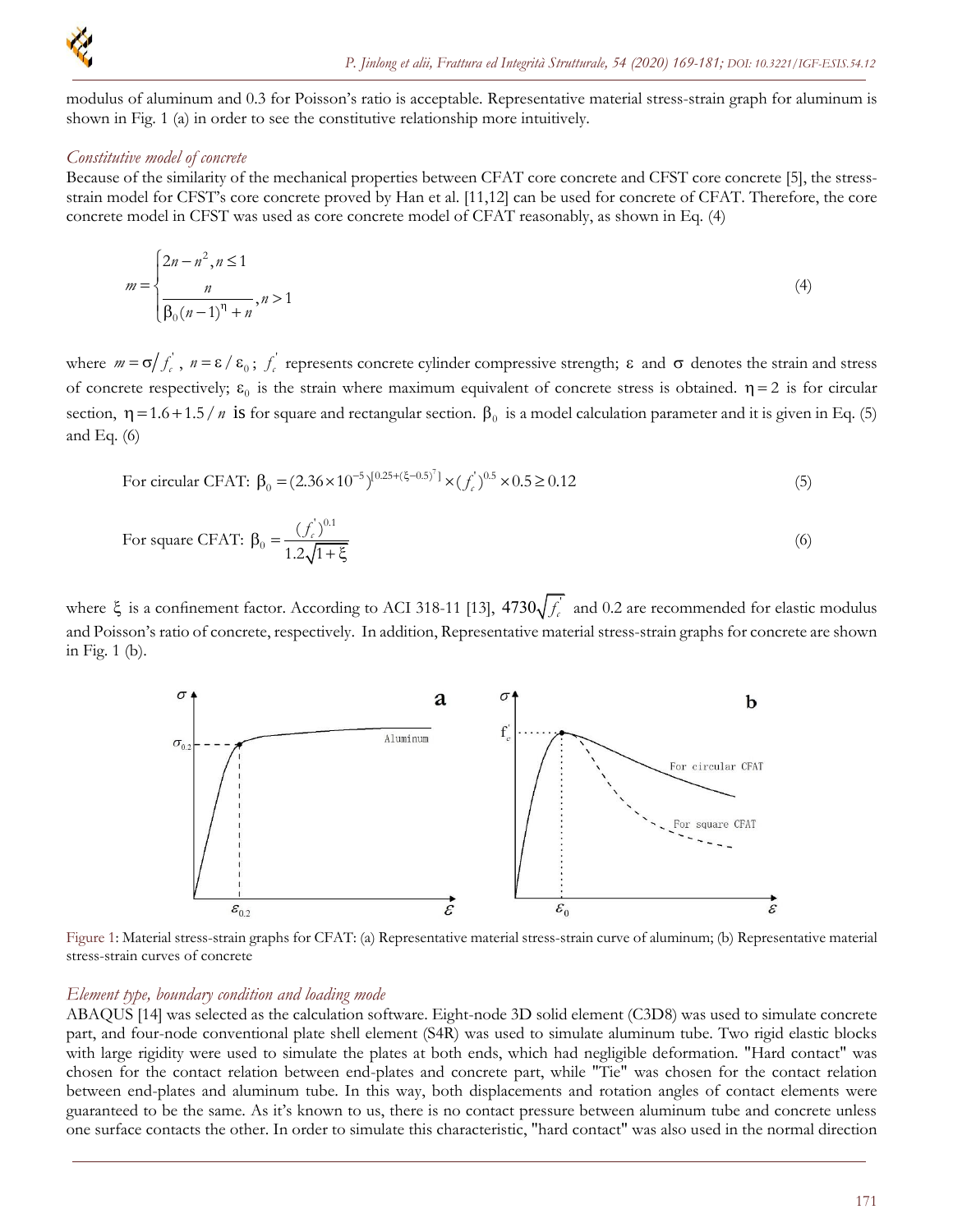

modulus of aluminum and 0.3 for Poisson's ratio is acceptable. Representative material stress-strain graph for aluminum is shown in Fig. 1 (a) in order to see the constitutive relationship more intuitively.

#### *Constitutive model of concrete*

Because of the similarity of the mechanical properties between CFAT core concrete and CFST core concrete [5], the stressstrain model for CFST's core concrete proved by Han et al. [11,12] can be used for concrete of CFAT. Therefore, the core concrete model in CFST was used as core concrete model of CFAT reasonably, as shown in Eq. (4)

$$
m = \begin{cases} 2n - n^2, n \le 1 \\ \frac{n}{\beta_0 (n-1)^n + n}, n > 1 \end{cases}
$$
 (4)

where  $m = \sigma / f_c$ ,  $n = \varepsilon / \varepsilon_0$ ;  $f_c$  represents concrete cylinder compressive strength;  $\varepsilon$  and  $\sigma$  denotes the strain and stress of concrete respectively;  $\varepsilon_0$  is the strain where maximum equivalent of concrete stress is obtained.  $\eta = 2$  is for circular section,  $\eta = 1.6 + 1.5/n$  is for square and rectangular section.  $\beta_0$  is a model calculation parameter and it is given in Eq. (5) and Eq.  $(6)$ 

For circular CFAT: 
$$
\beta_0 = (2.36 \times 10^{-5})^{[0.25 + (\xi - 0.5)^7]} \times (f_c^{'})^{0.5} \times 0.5 \ge 0.12
$$
 (5)

For square CFAT: 
$$
\beta_0 = \frac{(f_c')^{0.1}}{1.2\sqrt{1+\xi}}
$$
 (6)

where  $\xi$  is a confinement factor. According to ACI 318-11 [13], 4730 $\sqrt{f_c'}$  and 0.2 are recommended for elastic modulus and Poisson's ratio of concrete, respectively. In addition, Representative material stress-strain graphs for concrete are shown in Fig. 1 (b).



Figure 1: Material stress-strain graphs for CFAT: (a) Representative material stress-strain curve of aluminum; (b) Representative material stress-strain curves of concrete

#### *Element type, boundary condition and loading mode*

ABAQUS [14] was selected as the calculation software. Eight-node 3D solid element (C3D8) was used to simulate concrete part, and four-node conventional plate shell element (S4R) was used to simulate aluminum tube. Two rigid elastic blocks with large rigidity were used to simulate the plates at both ends, which had negligible deformation. "Hard contact" was chosen for the contact relation between end-plates and concrete part, while "Tie" was chosen for the contact relation between end-plates and aluminum tube. In this way, both displacements and rotation angles of contact elements were guaranteed to be the same. As it's known to us, there is no contact pressure between aluminum tube and concrete unless one surface contacts the other. In order to simulate this characteristic, "hard contact" was also used in the normal direction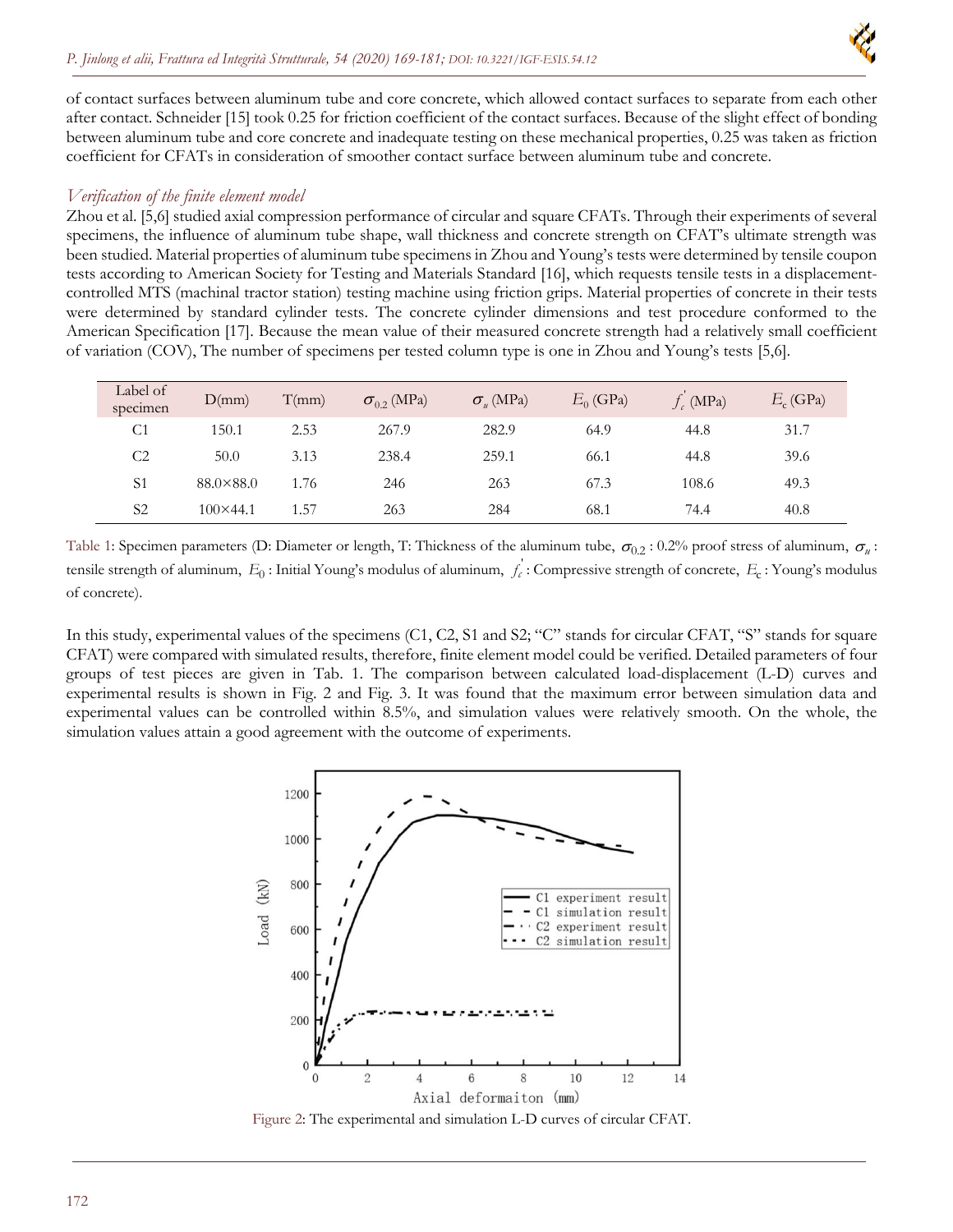

of contact surfaces between aluminum tube and core concrete, which allowed contact surfaces to separate from each other after contact. Schneider [15] took 0.25 for friction coefficient of the contact surfaces. Because of the slight effect of bonding between aluminum tube and core concrete and inadequate testing on these mechanical properties, 0.25 was taken as friction coefficient for CFATs in consideration of smoother contact surface between aluminum tube and concrete.

## *Verification of the finite element model*

Zhou et al. [5,6] studied axial compression performance of circular and square CFATs. Through their experiments of several specimens, the influence of aluminum tube shape, wall thickness and concrete strength on CFAT's ultimate strength was been studied. Material properties of aluminum tube specimens in Zhou and Young's tests were determined by tensile coupon tests according to American Society for Testing and Materials Standard [16], which requests tensile tests in a displacementcontrolled MTS (machinal tractor station) testing machine using friction grips. Material properties of concrete in their tests were determined by standard cylinder tests. The concrete cylinder dimensions and test procedure conformed to the American Specification [17]. Because the mean value of their measured concrete strength had a relatively small coefficient of variation (COV), The number of specimens per tested column type is one in Zhou and Young's tests [5,6].

| Label of<br>specimen | D(mm)              | T(mm) | $\sigma_{02}$ (MPa) | $\sigma_{\nu}$ (MPa) | $E_0$ (GPa) | $f_c$ (MPa) | $E_c$ (GPa) |
|----------------------|--------------------|-------|---------------------|----------------------|-------------|-------------|-------------|
| C <sub>1</sub>       | 150.1              | 2.53  | 267.9               | 282.9                | 64.9        | 44.8        | 31.7        |
| C <sub>2</sub>       | 50.0               | 3.13  | 238.4               | 259.1                | 66.1        | 44.8        | 39.6        |
| S <sub>1</sub>       | $88.0 \times 88.0$ | 1.76  | 246                 | 263                  | 67.3        | 108.6       | 49.3        |
| S <sub>2</sub>       | $100 \times 44.1$  | 1.57  | 263                 | 284                  | 68.1        | 74.4        | 40.8        |

Table 1: Specimen parameters (D: Diameter or length, T: Thickness of the aluminum tube,  $\sigma_{0.2}$ : 0.2% proof stress of aluminum,  $\sigma_u$ : tensile strength of aluminum,  $E_0$ : Initial Young's modulus of aluminum,  $f_c$ : Compressive strength of concrete,  $E_c$ : Young's modulus of concrete).

In this study, experimental values of the specimens (C1, C2, S1 and S2; "C" stands for circular CFAT, "S" stands for square CFAT) were compared with simulated results, therefore, finite element model could be verified. Detailed parameters of four groups of test pieces are given in Tab. 1. The comparison between calculated load-displacement (L-D) curves and experimental results is shown in Fig. 2 and Fig. 3. It was found that the maximum error between simulation data and experimental values can be controlled within 8.5%, and simulation values were relatively smooth. On the whole, the simulation values attain a good agreement with the outcome of experiments.



Figure 2: The experimental and simulation L-D curves of circular CFAT.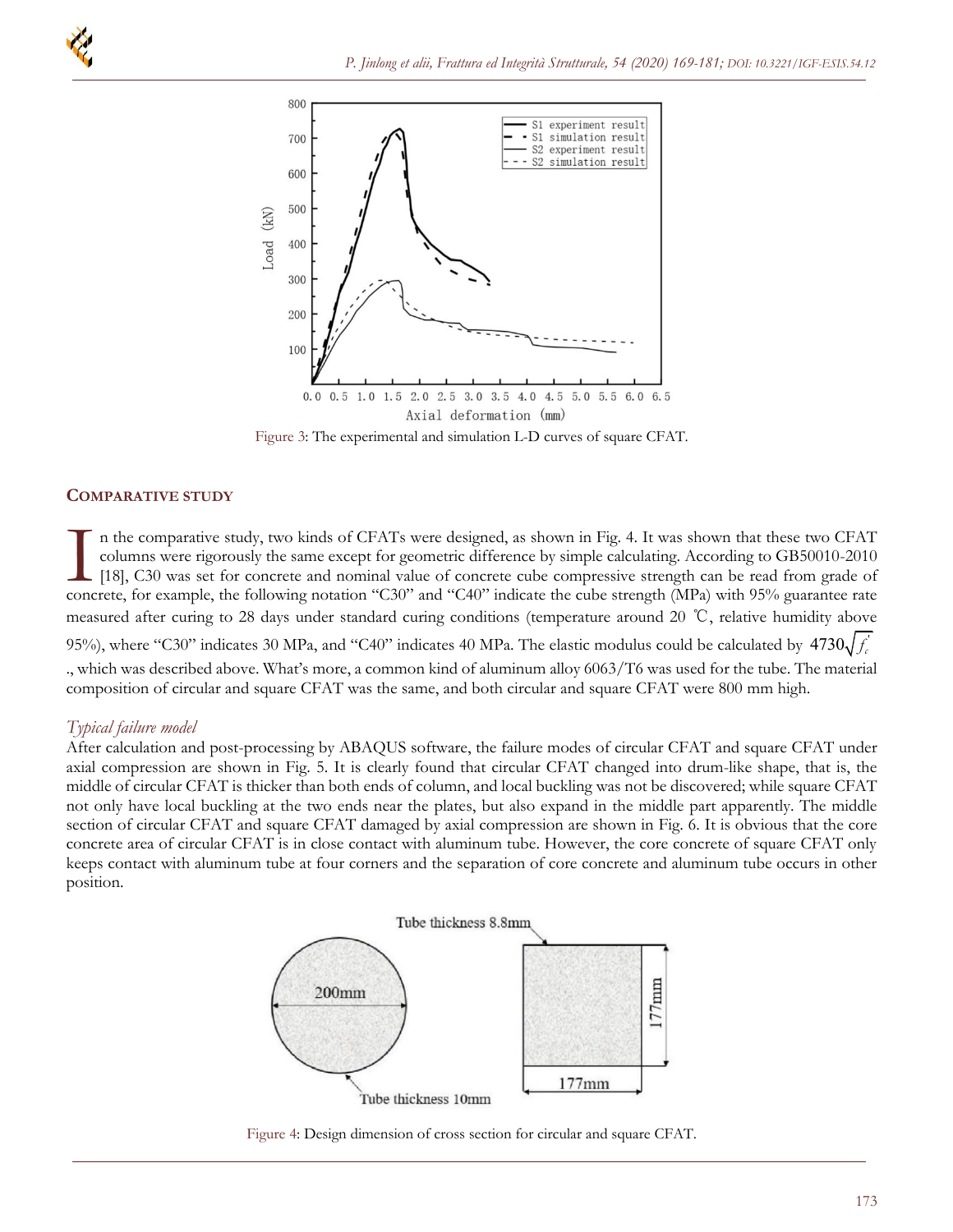

Figure 3: The experimental and simulation L-D curves of square CFAT.

## **COMPARATIVE STUDY**

n the comparative study, two kinds of CFATs were designed, as shown in Fig. 4. It was shown that these two CFAT columns were rigorously the same except for geometric difference by simple calculating. According to GB50010-2010 [18], C30 was set for concrete and nominal value of concrete cube compressive strength can be read from grade of The comparative study, two kinds of CFATs were designed, as shown in Fig. 4. It was shown that these two CFAT columns were rigorously the same except for geometric difference by simple calculating. According to GB50010-201 measured after curing to 28 days under standard curing conditions (temperature around 20 ℃, relative humidity above 95%), where "C30" indicates 30 MPa, and "C40" indicates 40 MPa. The elastic modulus could be calculated by  $4730\sqrt{f_c^2}$ ., which was described above. What's more, a common kind of aluminum alloy 6063/T6 was used for the tube. The material composition of circular and square CFAT was the same, and both circular and square CFAT were 800 mm high.

# *Typical failure model*

After calculation and post-processing by ABAQUS software, the failure modes of circular CFAT and square CFAT under axial compression are shown in Fig. 5. It is clearly found that circular CFAT changed into drum-like shape, that is, the middle of circular CFAT is thicker than both ends of column, and local buckling was not be discovered; while square CFAT not only have local buckling at the two ends near the plates, but also expand in the middle part apparently. The middle section of circular CFAT and square CFAT damaged by axial compression are shown in Fig. 6. It is obvious that the core concrete area of circular CFAT is in close contact with aluminum tube. However, the core concrete of square CFAT only keeps contact with aluminum tube at four corners and the separation of core concrete and aluminum tube occurs in other position.



Figure 4: Design dimension of cross section for circular and square CFAT.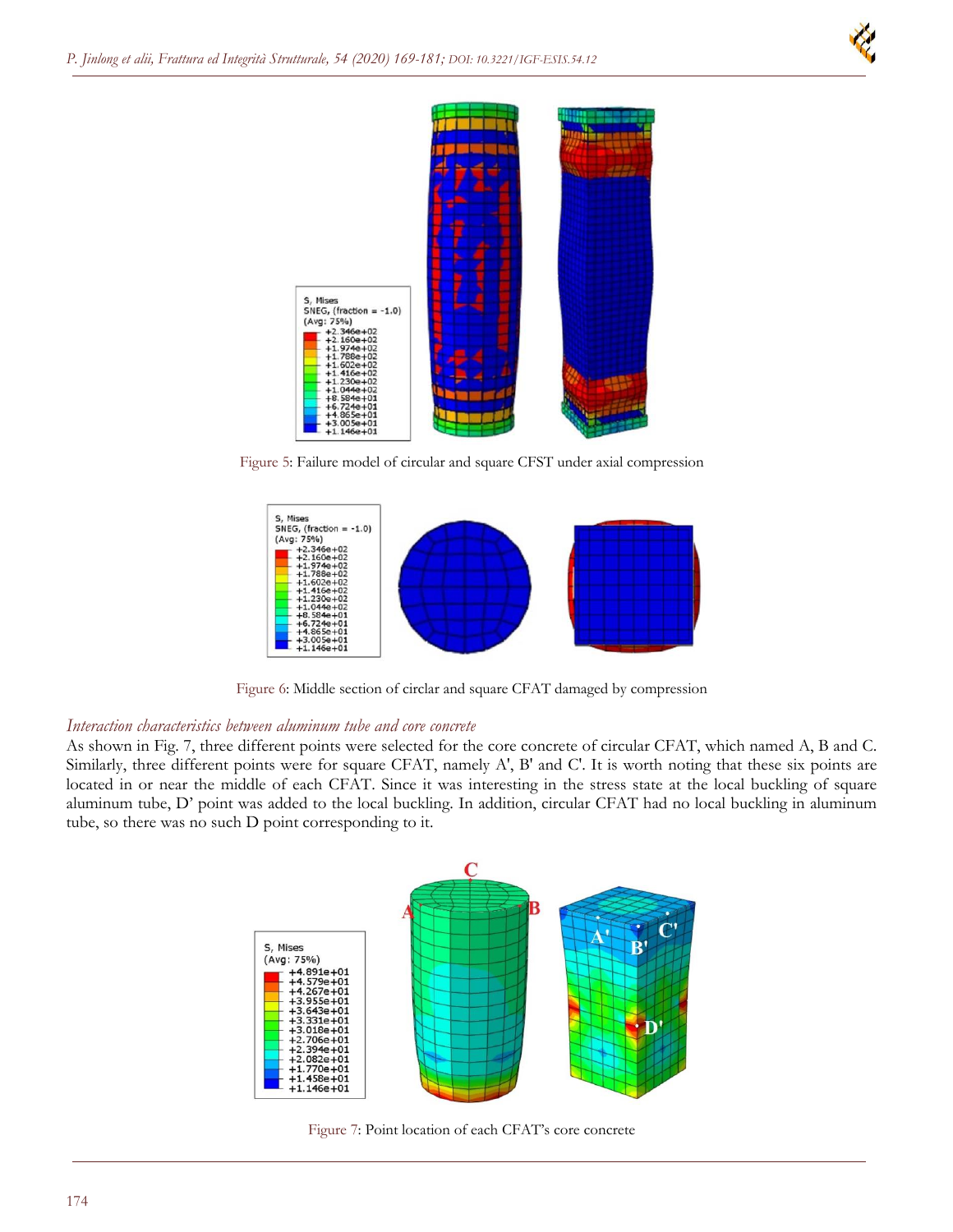



Figure 5: Failure model of circular and square CFST under axial compression



Figure 6: Middle section of circlar and square CFAT damaged by compression

### *Interaction characteristics between aluminum tube and core concrete*

As shown in Fig. 7, three different points were selected for the core concrete of circular CFAT, which named A, B and C. Similarly, three different points were for square CFAT, namely A', B' and C'. It is worth noting that these six points are located in or near the middle of each CFAT. Since it was interesting in the stress state at the local buckling of square aluminum tube, D' point was added to the local buckling. In addition, circular CFAT had no local buckling in aluminum tube, so there was no such D point corresponding to it.



Figure 7: Point location of each CFAT's core concrete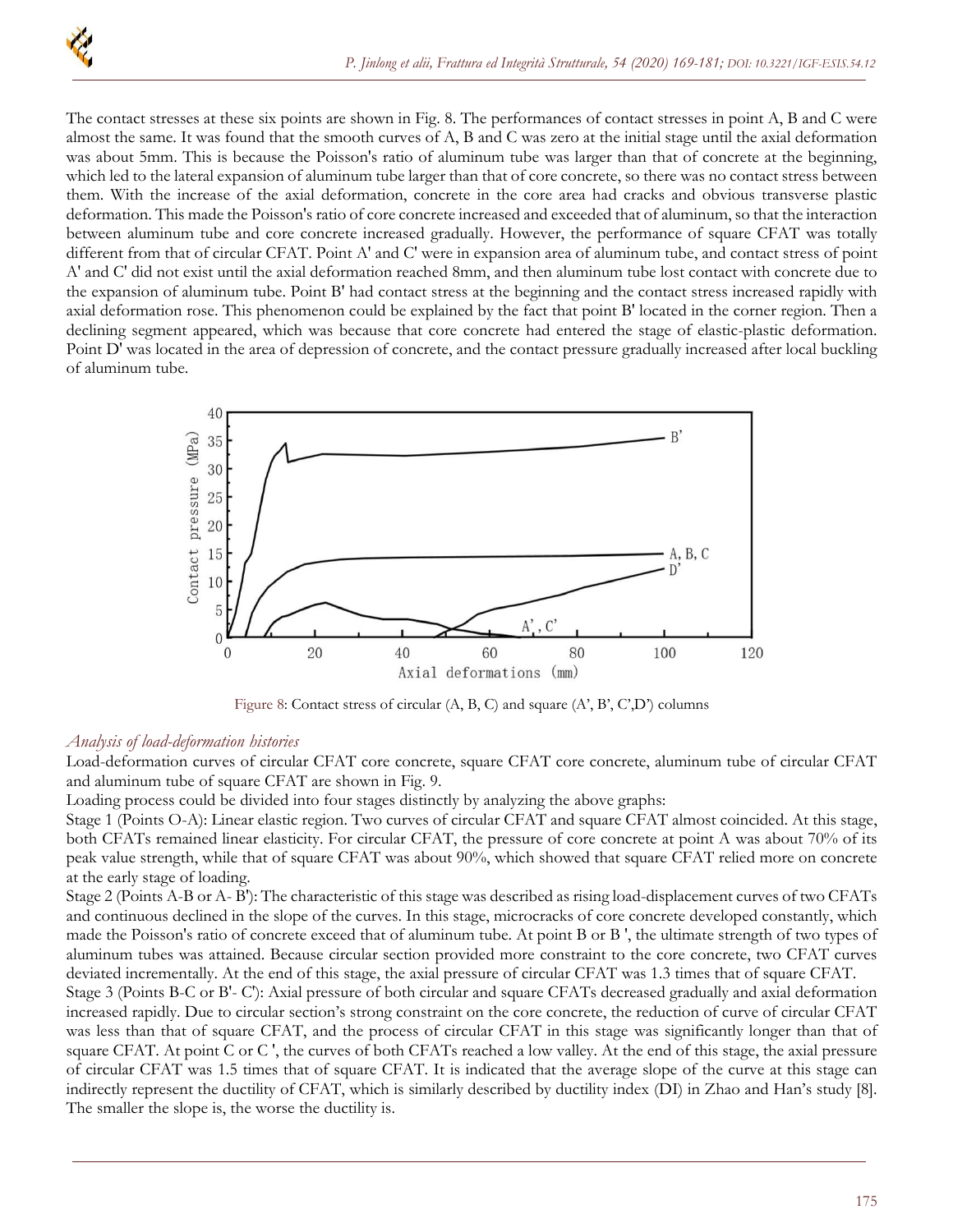The contact stresses at these six points are shown in Fig. 8. The performances of contact stresses in point A, B and C were almost the same. It was found that the smooth curves of A, B and C was zero at the initial stage until the axial deformation was about 5mm. This is because the Poisson's ratio of aluminum tube was larger than that of concrete at the beginning, which led to the lateral expansion of aluminum tube larger than that of core concrete, so there was no contact stress between them. With the increase of the axial deformation, concrete in the core area had cracks and obvious transverse plastic deformation. This made the Poisson's ratio of core concrete increased and exceeded that of aluminum, so that the interaction between aluminum tube and core concrete increased gradually. However, the performance of square CFAT was totally different from that of circular CFAT. Point A' and C' were in expansion area of aluminum tube, and contact stress of point A' and C' did not exist until the axial deformation reached 8mm, and then aluminum tube lost contact with concrete due to the expansion of aluminum tube. Point B' had contact stress at the beginning and the contact stress increased rapidly with axial deformation rose. This phenomenon could be explained by the fact that point B' located in the corner region. Then a declining segment appeared, which was because that core concrete had entered the stage of elastic-plastic deformation. Point D' was located in the area of depression of concrete, and the contact pressure gradually increased after local buckling of aluminum tube.



Figure 8: Contact stress of circular (A, B, C) and square (A', B', C',D') columns

### *Analysis of load-deformation histories*

Load-deformation curves of circular CFAT core concrete, square CFAT core concrete, aluminum tube of circular CFAT and aluminum tube of square CFAT are shown in Fig. 9.

Loading process could be divided into four stages distinctly by analyzing the above graphs:

Stage 1 (Points O-A): Linear elastic region. Two curves of circular CFAT and square CFAT almost coincided. At this stage, both CFATs remained linear elasticity. For circular CFAT, the pressure of core concrete at point A was about 70% of its peak value strength, while that of square CFAT was about 90%, which showed that square CFAT relied more on concrete at the early stage of loading.

Stage 2 (Points A-B or A- B'): The characteristic of this stage was described as rising load-displacement curves of two CFATs and continuous declined in the slope of the curves. In this stage, microcracks of core concrete developed constantly, which made the Poisson's ratio of concrete exceed that of aluminum tube. At point B or B ', the ultimate strength of two types of aluminum tubes was attained. Because circular section provided more constraint to the core concrete, two CFAT curves deviated incrementally. At the end of this stage, the axial pressure of circular CFAT was 1.3 times that of square CFAT.

Stage 3 (Points B-C or B'- C'): Axial pressure of both circular and square CFATs decreased gradually and axial deformation increased rapidly. Due to circular section's strong constraint on the core concrete, the reduction of curve of circular CFAT was less than that of square CFAT, and the process of circular CFAT in this stage was significantly longer than that of square CFAT. At point C or C ', the curves of both CFATs reached a low valley. At the end of this stage, the axial pressure of circular CFAT was 1.5 times that of square CFAT. It is indicated that the average slope of the curve at this stage can indirectly represent the ductility of CFAT, which is similarly described by ductility index (DI) in Zhao and Han's study [8]. The smaller the slope is, the worse the ductility is.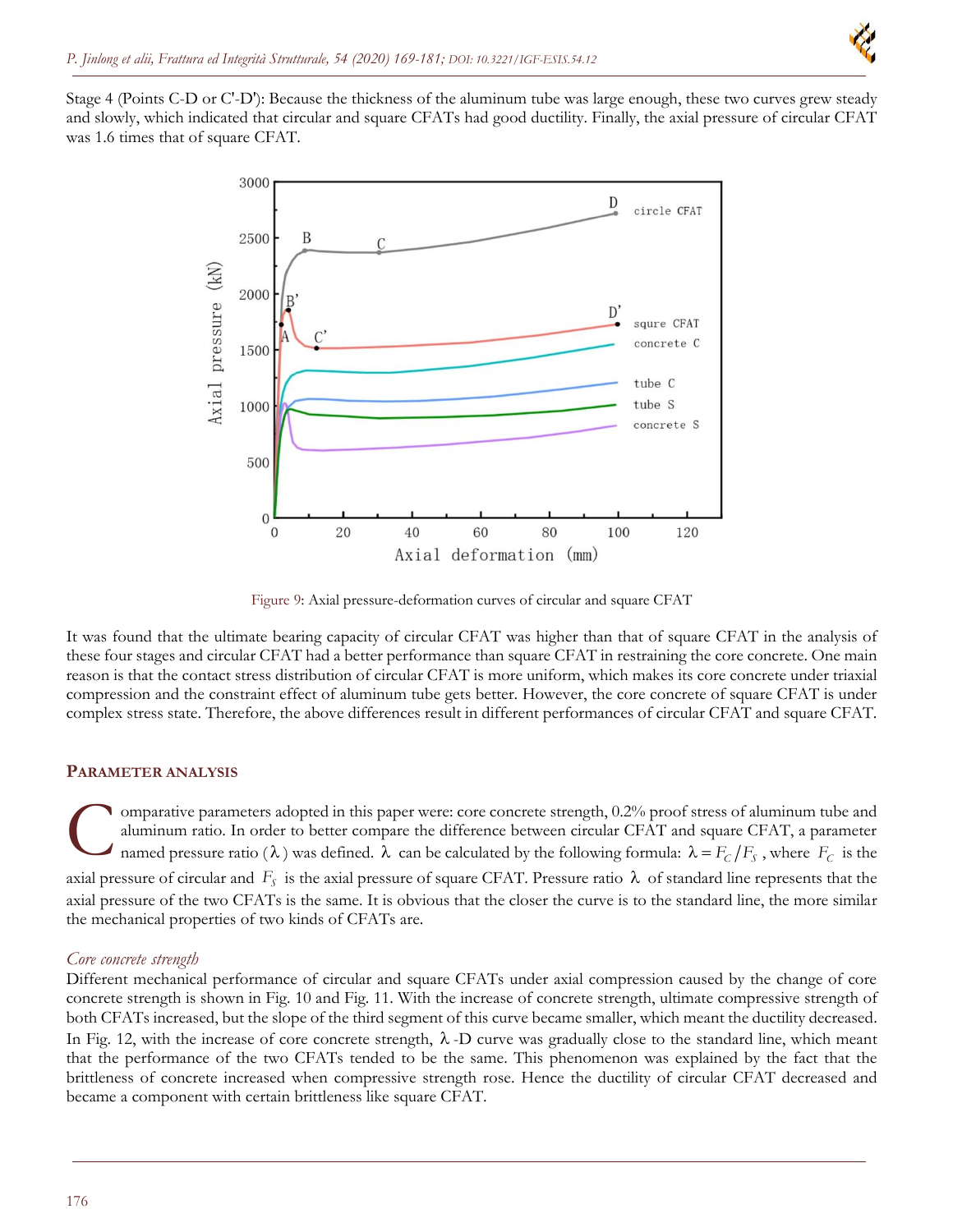

Stage 4 (Points C-D or C'-D'): Because the thickness of the aluminum tube was large enough, these two curves grew steady and slowly, which indicated that circular and square CFATs had good ductility. Finally, the axial pressure of circular CFAT was 1.6 times that of square CFAT.



Figure 9: Axial pressure-deformation curves of circular and square CFAT

It was found that the ultimate bearing capacity of circular CFAT was higher than that of square CFAT in the analysis of these four stages and circular CFAT had a better performance than square CFAT in restraining the core concrete. One main reason is that the contact stress distribution of circular CFAT is more uniform, which makes its core concrete under triaxial compression and the constraint effect of aluminum tube gets better. However, the core concrete of square CFAT is under complex stress state. Therefore, the above differences result in different performances of circular CFAT and square CFAT.

#### **PARAMETER ANALYSIS**

omparative parameters adopted in this paper were: core concrete strength, 0.2% proof stress of aluminum tube and aluminum ratio. In order to better compare the difference between circular CFAT and square CFAT, a parameter named pressure ratio ( $\lambda$ ) was defined.  $\lambda$  can be calculated by the following formula:  $\lambda = F_C/F_S$ , where  $F_C$  is the axial pressure of circular and  $F_s$  is the axial pressure of square CFAT. Pressure ratio  $\lambda$  of standard line represents that the axial pressure of the two CFATs is the same. It is obvious that the closer the curve is to the standard line, the more similar the mechanical properties of two kinds of CFATs are. C

### *Core concrete strength*

Different mechanical performance of circular and square CFATs under axial compression caused by the change of core concrete strength is shown in Fig. 10 and Fig. 11. With the increase of concrete strength, ultimate compressive strength of both CFATs increased, but the slope of the third segment of this curve became smaller, which meant the ductility decreased. In Fig. 12, with the increase of core concrete strength,  $\lambda$ -D curve was gradually close to the standard line, which meant that the performance of the two CFATs tended to be the same. This phenomenon was explained by the fact that the brittleness of concrete increased when compressive strength rose. Hence the ductility of circular CFAT decreased and became a component with certain brittleness like square CFAT.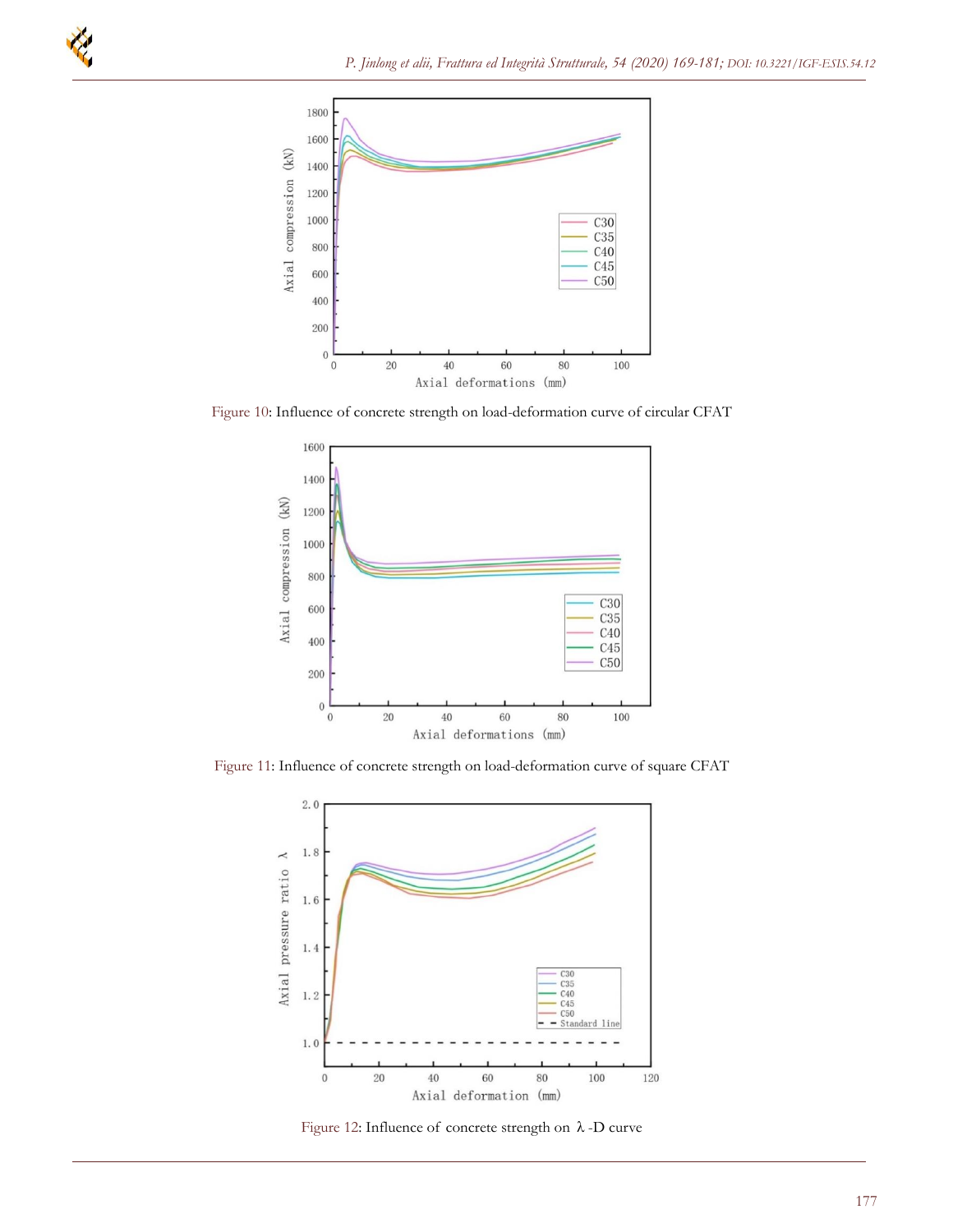

Figure 10: Influence of concrete strength on load-deformation curve of circular CFAT



Figure 11: Influence of concrete strength on load-deformation curve of square CFAT



Figure 12: Influence of concrete strength on  $\lambda$ -D curve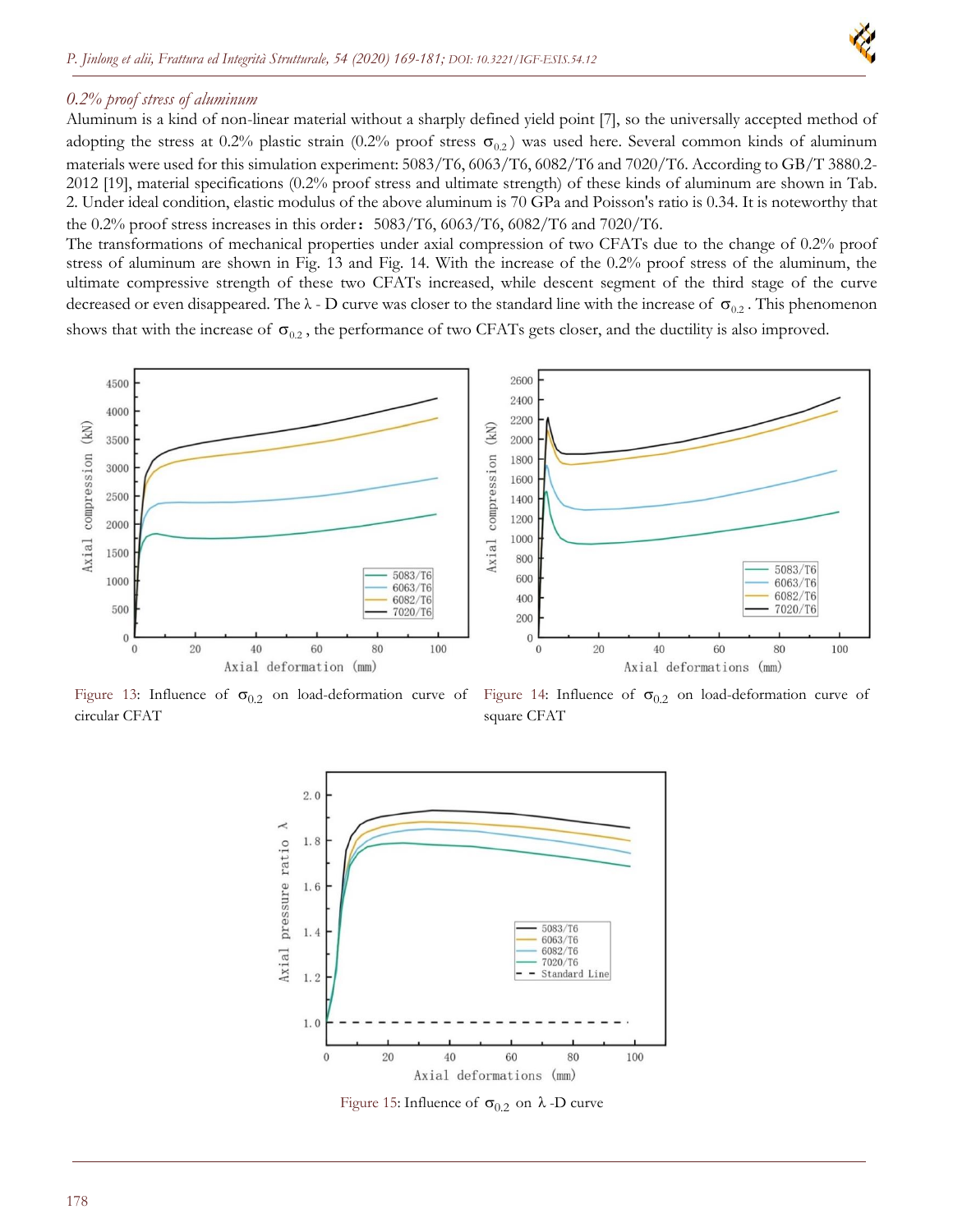

## *0.2% proof stress of aluminum*

Aluminum is a kind of non-linear material without a sharply defined yield point [7], so the universally accepted method of adopting the stress at 0.2% plastic strain (0.2% proof stress  $\sigma_{0.2}$ ) was used here. Several common kinds of aluminum materials were used for this simulation experiment: 5083/T6, 6063/T6, 6082/T6 and 7020/T6. According to GB/T 3880.2- 2012 [19], material specifications (0.2% proof stress and ultimate strength) of these kinds of aluminum are shown in Tab. 2. Under ideal condition, elastic modulus of the above aluminum is 70 GPa and Poisson's ratio is 0.34. It is noteworthy that the 0.2% proof stress increases in this order:5083/T6, 6063/T6, 6082/T6 and 7020/T6.

The transformations of mechanical properties under axial compression of two CFATs due to the change of 0.2% proof stress of aluminum are shown in Fig. 13 and Fig. 14. With the increase of the 0.2% proof stress of the aluminum, the ultimate compressive strength of these two CFATs increased, while descent segment of the third stage of the curve decreased or even disappeared. The  $\lambda$  - D curve was closer to the standard line with the increase of  $\sigma_{0.2}$ . This phenomenon shows that with the increase of  $\sigma_{0.2}$ , the performance of two CFATs gets closer, and the ductility is also improved.



circular CFAT

Figure 13: Influence of  $\sigma_{0.2}$  on load-deformation curve of Figure 14: Influence of  $\sigma_{0.2}$  on load-deformation curve of square CFAT



Figure 15: Influence of  $\sigma_{0.2}$  on  $\lambda$  -D curve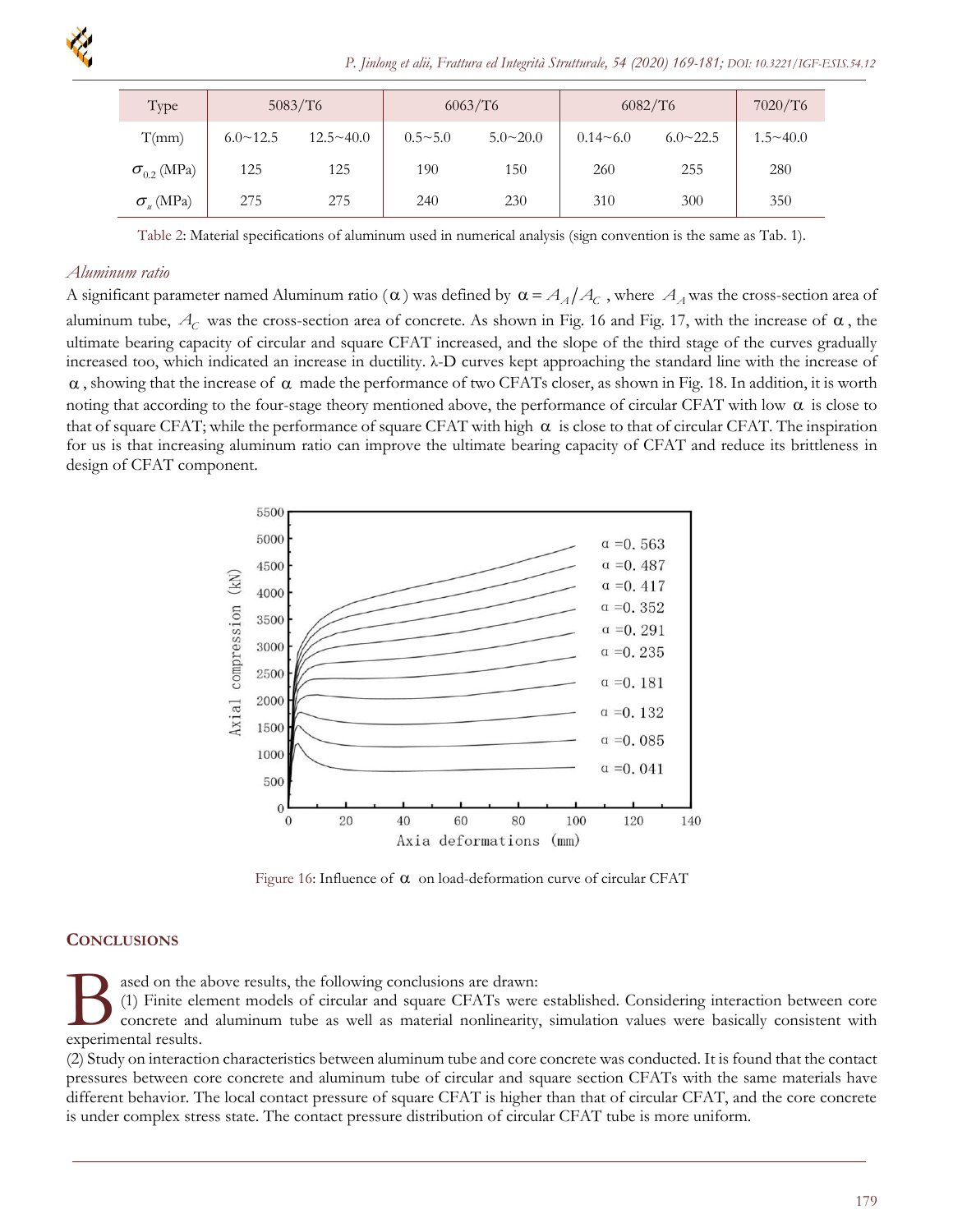

| Type                 | 5083/T6         |                  | 6063/T6        |                 | 6082/T6      |                 | 7020/T6         |
|----------------------|-----------------|------------------|----------------|-----------------|--------------|-----------------|-----------------|
| T(mm)                | $6.0 \sim 12.5$ | $12.5 \sim 40.0$ | $0.5 \sim 5.0$ | $5.0 \sim 20.0$ | $0.14 - 6.0$ | $6.0 \sim 22.5$ | $1.5 \sim 40.0$ |
| $\sigma_{0.2}$ (MPa) | 125             | 125              | 190            | 150             | 260          | 255             | 280             |
| $\sigma_{\mu}$ (MPa) | 275             | 275              | 240            | 230             | 310          | 300             | 350             |

Table 2: Material specifications of aluminum used in numerical analysis (sign convention is the same as Tab. 1).

#### *Aluminum ratio*

A significant parameter named Aluminum ratio ( $\alpha$ ) was defined by  $\alpha = A_A/A_C$  , where  $A_A$  was the cross-section area of aluminum tube,  $A_C$  was the cross-section area of concrete. As shown in Fig. 16 and Fig. 17, with the increase of  $\alpha$ , the ultimate bearing capacity of circular and square CFAT increased, and the slope of the third stage of the curves gradually increased too, which indicated an increase in ductility. λ-D curves kept approaching the standard line with the increase of  $\alpha$ , showing that the increase of  $\alpha$  made the performance of two CFATs closer, as shown in Fig. 18. In addition, it is worth noting that according to the four-stage theory mentioned above, the performance of circular CFAT with low  $\alpha$  is close to that of square CFAT; while the performance of square CFAT with high  $\alpha$  is close to that of circular CFAT. The inspiration for us is that increasing aluminum ratio can improve the ultimate bearing capacity of CFAT and reduce its brittleness in design of CFAT component.



Figure 16: Influence of  $\alpha$  on load-deformation curve of circular CFAT

### **CONCLUSIONS**

ased on the above results, the following conclusions are drawn:

(1) Finite element models of circular and square CFATs were established. Considering interaction between core concrete and aluminum tube as well as material nonlinearity, simulation values were basically consistent with **B** ased on the :<br>
(1) Finite eld<br>
concrete and<br>
experimental results.

(2) Study on interaction characteristics between aluminum tube and core concrete was conducted. It is found that the contact pressures between core concrete and aluminum tube of circular and square section CFATs with the same materials have different behavior. The local contact pressure of square CFAT is higher than that of circular CFAT, and the core concrete is under complex stress state. The contact pressure distribution of circular CFAT tube is more uniform.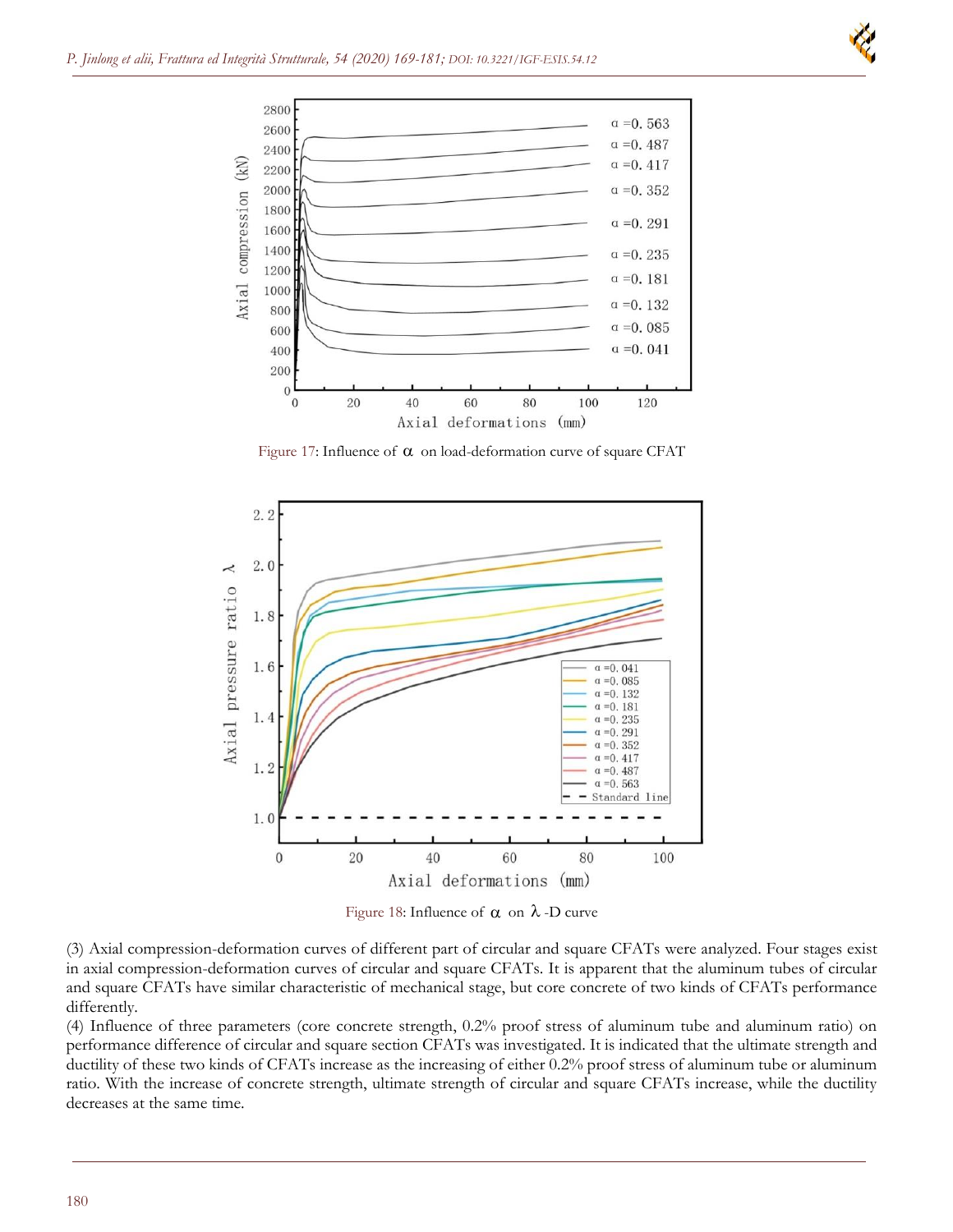



Figure 17: Influence of  $\alpha$  on load-deformation curve of square CFAT



Figure 18: Influence of  $\alpha$  on  $\lambda$ -D curve

(3) Axial compression-deformation curves of different part of circular and square CFATs were analyzed. Four stages exist in axial compression-deformation curves of circular and square CFATs. It is apparent that the aluminum tubes of circular and square CFATs have similar characteristic of mechanical stage, but core concrete of two kinds of CFATs performance differently.

(4) Influence of three parameters (core concrete strength, 0.2% proof stress of aluminum tube and aluminum ratio) on performance difference of circular and square section CFATs was investigated. It is indicated that the ultimate strength and ductility of these two kinds of CFATs increase as the increasing of either 0.2% proof stress of aluminum tube or aluminum ratio. With the increase of concrete strength, ultimate strength of circular and square CFATs increase, while the ductility decreases at the same time.